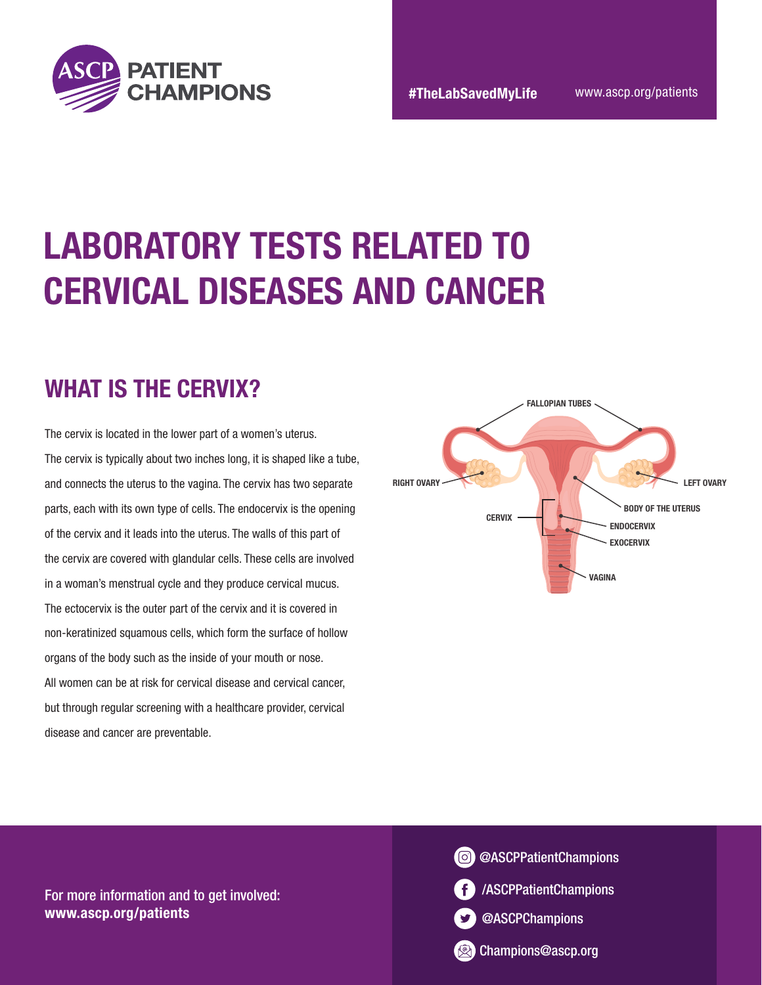

# LABORATORY TESTS RELATED TO CERVICAL DISEASES AND CANCER

#### WHAT IS THE CERVIX?

The cervix is located in the lower part of a women's uterus. The cervix is typically about two inches long, it is shaped like a tube, and connects the uterus to the vagina. The cervix has two separate parts, each with its own type of cells. The endocervix is the opening of the cervix and it leads into the uterus. The walls of this part of the cervix are covered with glandular cells. These cells are involved in a woman's menstrual cycle and they produce cervical mucus. The ectocervix is the outer part of the cervix and it is covered in non-keratinized squamous cells, which form the surface of hollow organs of the body such as the inside of your mouth or nose. All women can be at risk for cervical disease and cervical cancer, but through regular screening with a healthcare provider, cervical disease and cancer are preventable.





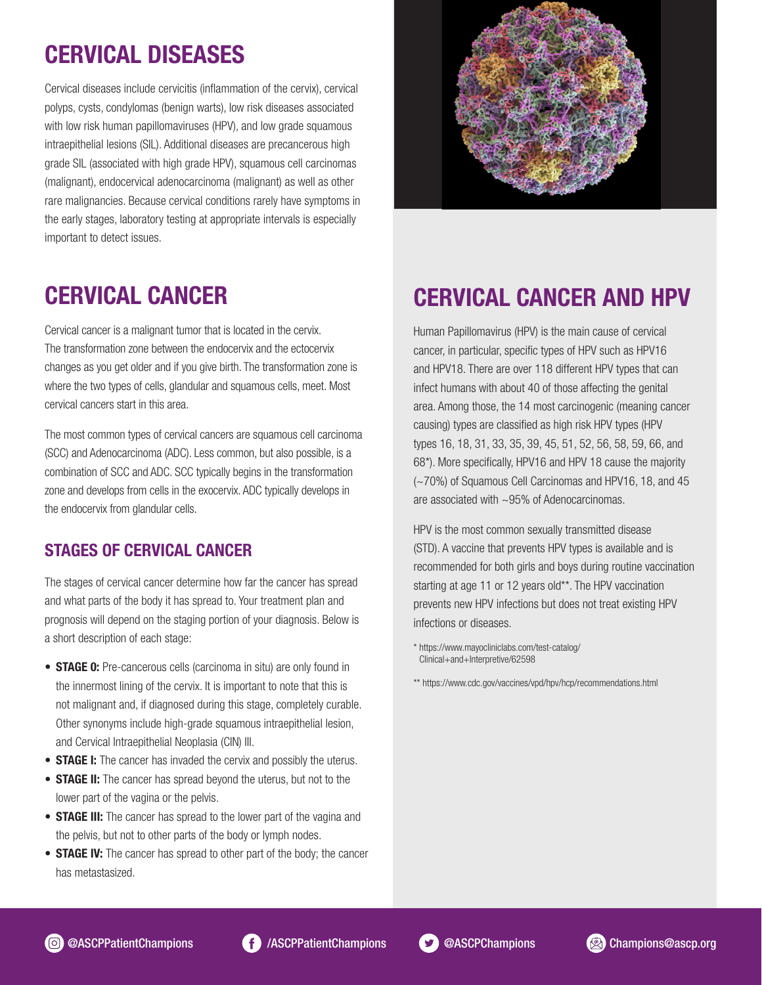# CERVICAL DISEASES

Cervical diseases include cervicitis (inflammation of the cervix), cervical polyps, cysts, condylomas (benign warts), low risk diseases associated with low risk human papillomaviruses (HPV), and low grade squamous intraepithelial lesions (SIL). Additional diseases are precancerous high grade SIL (associated with high grade HPV), squamous cell carcinomas (malignant), endocervical adenocarcinoma (malignant) as well as other rare malignancies. Because cervical conditions rarely have symptoms in the early stages, laboratory testing at appropriate intervals is especially important to detect issues.



### CERVICAL CANCER

Cervical cancer is a malignant tumor that is located in the cervix. The transformation zone between the endocervix and the ectocervix changes as you get older and if you give birth. The transformation zone is where the two types of cells, glandular and squamous cells, meet. Most cervical cancers start in this area.

The most common types of cervical cancers are squamous cell carcinoma (SCC) and Adenocarcinoma (ADC). Less common, but also possible, is a combination of SCC and ADC. SCC typically begins in the transformation zone and develops from cells in the exocervix. ADC typically develops in the endocervix from glandular cells.

#### STAGES OF CERVICAL CANCER

The stages of cervical cancer determine how far the cancer has spread and what parts of the body it has spread to. Your treatment plan and prognosis will depend on the staging portion of your diagnosis. Below is a short description of each stage:

- **STAGE 0:** Pre-cancerous cells (carcinoma in situ) are only found in the innermost lining of the cervix. It is important to note that this is not malignant and, if diagnosed during this stage, completely curable. Other synonyms include high-grade squamous intraepithelial lesion, and Cervical Intraepithelial Neoplasia (CIN) III.
- **STAGE I:** The cancer has invaded the cervix and possibly the uterus.
- STAGE II: The cancer has spread beyond the uterus, but not to the lower part of the vagina or the pelvis.
- **STAGE III:** The cancer has spread to the lower part of the vagina and the pelvis, but not to other parts of the body or lymph nodes.
- **STAGE IV:** The cancer has spread to other part of the body; the cancer has metastasized.

#### CERVICAL CANCER AND HPV

Human Papillomavirus (HPV) is the main cause of cervical cancer, in particular, specific types of HPV such as HPV16 and HPV18. There are over 118 different HPV types that can infect humans with about 40 of those affecting the genital area. Among those, the 14 most carcinogenic (meaning cancer causing) types are classified as high risk HPV types (HPV types 16, 18, 31, 33, 35, 39, 45, 51, 52, 56, 58, 59, 66, and 68\*). More specifically, HPV16 and HPV 18 cause the majority (~70%) of Squamous Cell Carcinomas and HPV16, 18, and 45 are associated with ~95% of Adenocarcinomas.

HPV is the most common sexually transmitted disease (STD). A vaccine that prevents HPV types is available and is recommended for both girls and boys during routine vaccination starting at age 11 or 12 years old\*\*. The HPV vaccination prevents new HPV infections but does not treat existing HPV infections or diseases.

\*\* https://www.cdc.gov/vaccines/vpd/hpv/hcp/recommendations.html







<sup>\*</sup> https://www.mayocliniclabs.com/test-catalog/ Clinical+and+Interpretive/62598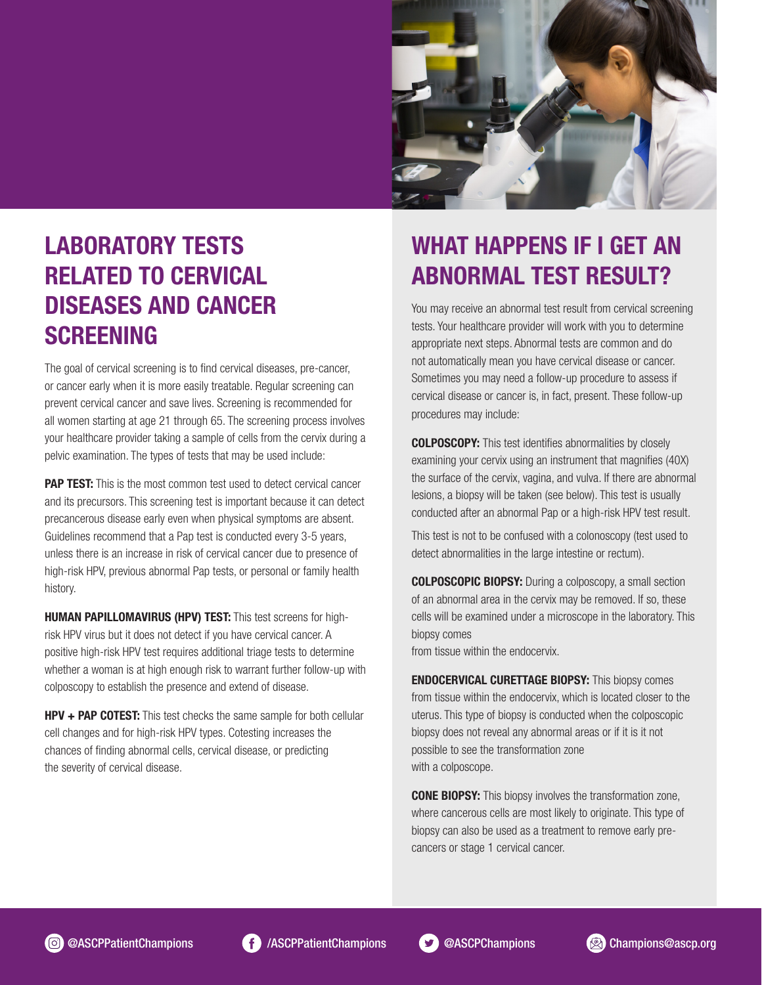

### LABORATORY TESTS RELATED TO CERVICAL DISEASES AND CANCER **SCREENING**

The goal of cervical screening is to find cervical diseases, pre-cancer, or cancer early when it is more easily treatable. Regular screening can prevent cervical cancer and save lives. Screening is recommended for all women starting at age 21 through 65. The screening process involves your healthcare provider taking a sample of cells from the cervix during a pelvic examination. The types of tests that may be used include:

**PAP TEST:** This is the most common test used to detect cervical cancer and its precursors. This screening test is important because it can detect precancerous disease early even when physical symptoms are absent. Guidelines recommend that a Pap test is conducted every 3-5 years, unless there is an increase in risk of cervical cancer due to presence of high-risk HPV, previous abnormal Pap tests, or personal or family health history.

HUMAN PAPILLOMAVIRUS (HPV) TEST: This test screens for highrisk HPV virus but it does not detect if you have cervical cancer. A positive high-risk HPV test requires additional triage tests to determine whether a woman is at high enough risk to warrant further follow-up with colposcopy to establish the presence and extend of disease.

**HPV + PAP COTEST:** This test checks the same sample for both cellular cell changes and for high-risk HPV types. Cotesting increases the chances of finding abnormal cells, cervical disease, or predicting the severity of cervical disease.

### WHAT HAPPENS IF I GET AN ABNORMAL TEST RESULT?

You may receive an abnormal test result from cervical screening tests. Your healthcare provider will work with you to determine appropriate next steps. Abnormal tests are common and do not automatically mean you have cervical disease or cancer. Sometimes you may need a follow-up procedure to assess if cervical disease or cancer is, in fact, present. These follow-up procedures may include:

COLPOSCOPY: This test identifies abnormalities by closely examining your cervix using an instrument that magnifies (40X) the surface of the cervix, vagina, and vulva. If there are abnormal lesions, a biopsy will be taken (see below). This test is usually conducted after an abnormal Pap or a high-risk HPV test result.

This test is not to be confused with a colonoscopy (test used to detect abnormalities in the large intestine or rectum).

COLPOSCOPIC BIOPSY: During a colposcopy, a small section of an abnormal area in the cervix may be removed. If so, these cells will be examined under a microscope in the laboratory. This biopsy comes

from tissue within the endocervix.

ENDOCERVICAL CURETTAGE BIOPSY: This biopsy comes from tissue within the endocervix, which is located closer to the uterus. This type of biopsy is conducted when the colposcopic biopsy does not reveal any abnormal areas or if it is it not possible to see the transformation zone with a colposcope.

**CONE BIOPSY:** This biopsy involves the transformation zone, where cancerous cells are most likely to originate. This type of biopsy can also be used as a treatment to remove early precancers or stage 1 cervical cancer.